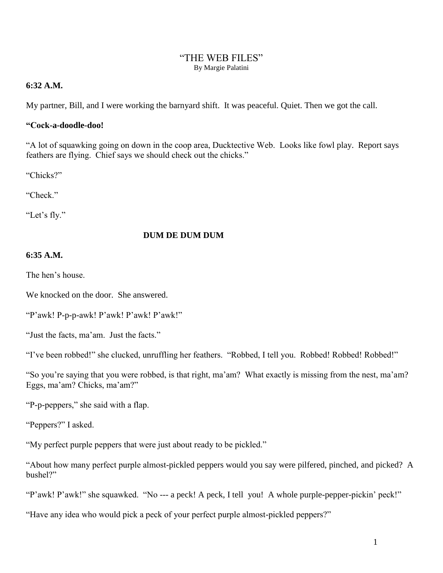#### "THE WEB FILES" By Margie Palatini

## **6:32 A.M.**

My partner, Bill, and I were working the barnyard shift. It was peaceful. Quiet. Then we got the call.

## **"Cock-a-doodle-doo!**

"A lot of squawking going on down in the coop area, Ducktective Web. Looks like fowl play. Report says feathers are flying. Chief says we should check out the chicks."

"Chicks?"

"Check."

"Let's fly."

# **DUM DE DUM DUM**

# **6:35 A.M.**

The hen's house.

We knocked on the door. She answered.

"P'awk! P-p-p-awk! P'awk! P'awk! P'awk!"

"Just the facts, ma'am. Just the facts."

"I've been robbed!" she clucked, unruffling her feathers. "Robbed, I tell you. Robbed! Robbed! Robbed!"

"So you're saying that you were robbed, is that right, ma'am? What exactly is missing from the nest, ma'am? Eggs, ma'am? Chicks, ma'am?"

"P-p-peppers," she said with a flap.

"Peppers?" I asked.

"My perfect purple peppers that were just about ready to be pickled."

"About how many perfect purple almost-pickled peppers would you say were pilfered, pinched, and picked? A bushel?"

"P'awk! P'awk!" she squawked. "No --- a peck! A peck, I tell you! A whole purple-pepper-pickin' peck!"

"Have any idea who would pick a peck of your perfect purple almost-pickled peppers?"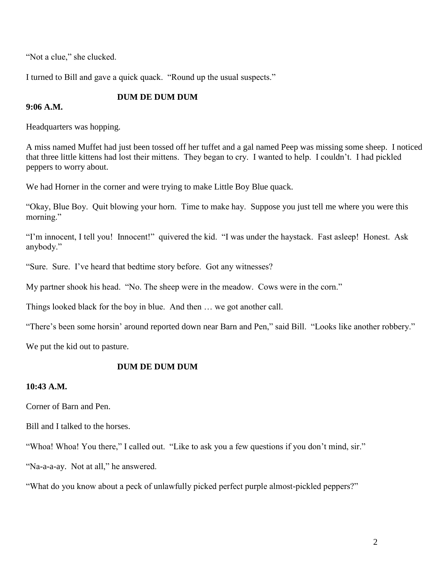"Not a clue," she clucked.

I turned to Bill and gave a quick quack. "Round up the usual suspects."

#### **DUM DE DUM DUM**

#### **9:06 A.M.**

Headquarters was hopping.

A miss named Muffet had just been tossed off her tuffet and a gal named Peep was missing some sheep. I noticed that three little kittens had lost their mittens. They began to cry. I wanted to help. I couldn't. I had pickled peppers to worry about.

We had Horner in the corner and were trying to make Little Boy Blue quack.

"Okay, Blue Boy. Quit blowing your horn. Time to make hay. Suppose you just tell me where you were this morning."

"I'm innocent, I tell you! Innocent!" quivered the kid. "I was under the haystack. Fast asleep! Honest. Ask anybody."

"Sure. Sure. I've heard that bedtime story before. Got any witnesses?

My partner shook his head. "No. The sheep were in the meadow. Cows were in the corn."

Things looked black for the boy in blue. And then … we got another call.

"There's been some horsin' around reported down near Barn and Pen," said Bill. "Looks like another robbery."

We put the kid out to pasture.

#### **DUM DE DUM DUM**

## **10:43 A.M.**

Corner of Barn and Pen.

Bill and I talked to the horses.

"Whoa! Whoa! You there," I called out. "Like to ask you a few questions if you don't mind, sir."

"Na-a-a-ay. Not at all," he answered.

"What do you know about a peck of unlawfully picked perfect purple almost-pickled peppers?"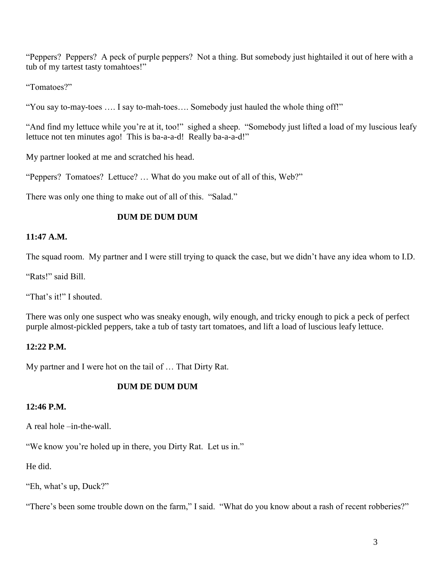"Peppers? Peppers? A peck of purple peppers? Not a thing. But somebody just hightailed it out of here with a tub of my tartest tasty tomahtoes!"

"Tomatoes?"

"You say to-may-toes …. I say to-mah-toes…. Somebody just hauled the whole thing off!"

"And find my lettuce while you're at it, too!" sighed a sheep. "Somebody just lifted a load of my luscious leafy lettuce not ten minutes ago! This is ba-a-a-d! Really ba-a-a-d!"

My partner looked at me and scratched his head.

"Peppers? Tomatoes? Lettuce? … What do you make out of all of this, Web?"

There was only one thing to make out of all of this. "Salad."

# **DUM DE DUM DUM**

# **11:47 A.M.**

The squad room. My partner and I were still trying to quack the case, but we didn't have any idea whom to I.D.

"Rats!" said Bill.

"That's it!" I shouted.

There was only one suspect who was sneaky enough, wily enough, and tricky enough to pick a peck of perfect purple almost-pickled peppers, take a tub of tasty tart tomatoes, and lift a load of luscious leafy lettuce.

## **12:22 P.M.**

My partner and I were hot on the tail of … That Dirty Rat.

## **DUM DE DUM DUM**

## **12:46 P.M.**

A real hole –in-the-wall.

"We know you're holed up in there, you Dirty Rat. Let us in."

He did.

"Eh, what's up, Duck?"

"There's been some trouble down on the farm," I said. "What do you know about a rash of recent robberies?"